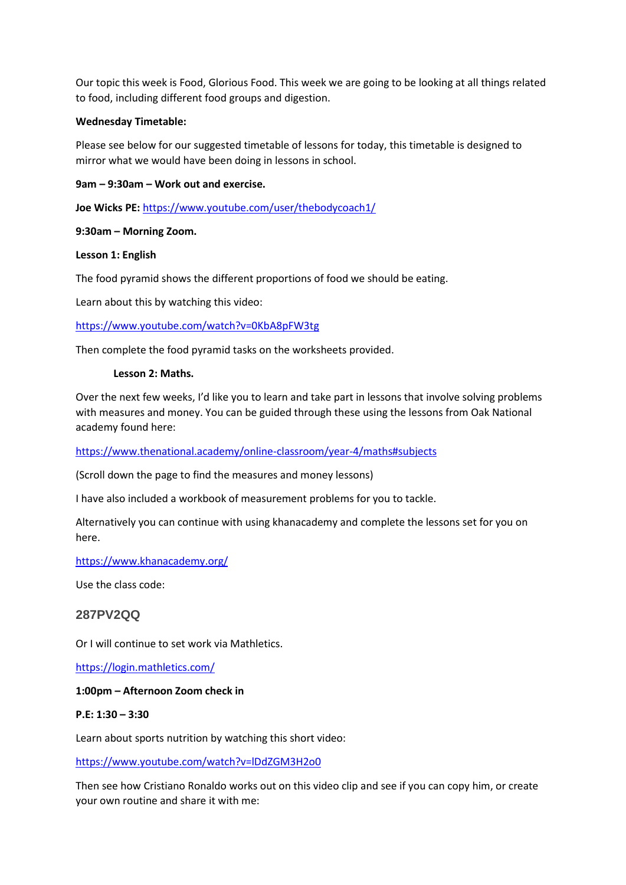Our topic this week is Food, Glorious Food. This week we are going to be looking at all things related to food, including different food groups and digestion.

## **Wednesday Timetable:**

Please see below for our suggested timetable of lessons for today, this timetable is designed to mirror what we would have been doing in lessons in school.

## **9am – 9:30am – Work out and exercise.**

**Joe Wicks PE:** <https://www.youtube.com/user/thebodycoach1/>

## **9:30am – Morning Zoom.**

## **Lesson 1: English**

The food pyramid shows the different proportions of food we should be eating.

Learn about this by watching this video:

<https://www.youtube.com/watch?v=0KbA8pFW3tg>

Then complete the food pyramid tasks on the worksheets provided.

#### **Lesson 2: Maths.**

Over the next few weeks, I'd like you to learn and take part in lessons that involve solving problems with measures and money. You can be guided through these using the lessons from Oak National academy found here:

#### <https://www.thenational.academy/online-classroom/year-4/maths#subjects>

(Scroll down the page to find the measures and money lessons)

I have also included a workbook of measurement problems for you to tackle.

Alternatively you can continue with using khanacademy and complete the lessons set for you on here.

<https://www.khanacademy.org/>

Use the class code:

## **287PV2QQ**

Or I will continue to set work via Mathletics.

<https://login.mathletics.com/>

#### **1:00pm – Afternoon Zoom check in**

## **P.E: 1:30 – 3:30**

Learn about sports nutrition by watching this short video:

<https://www.youtube.com/watch?v=lDdZGM3H2o0>

Then see how Cristiano Ronaldo works out on this video clip and see if you can copy him, or create your own routine and share it with me: